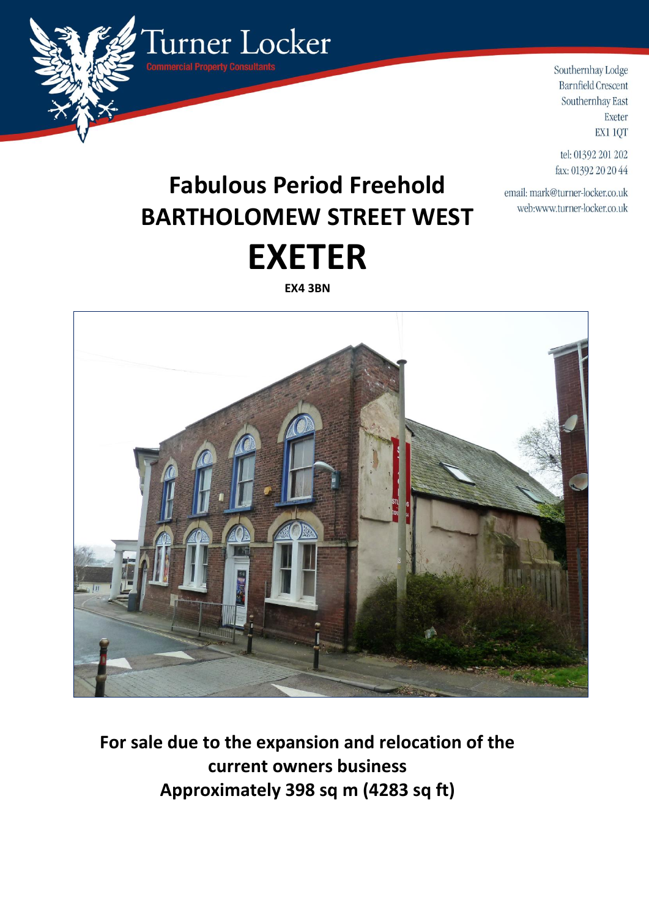

Southernhay Lodge **Barnfield Crescent** Southernhay East Exeter EX1 1QT

tel: 01392 201 202 fax: 01392 20 20 44

email: mark@turner-locker.co.uk web:www.turner-locker.co.uk

# **Fabulous Period Freehold BARTHOLOMEW STREET WEST EXETER**

**EX4 3BN**



**For sale due to the expansion and relocation of the current owners business Approximately 398 sq m (4283 sq ft)**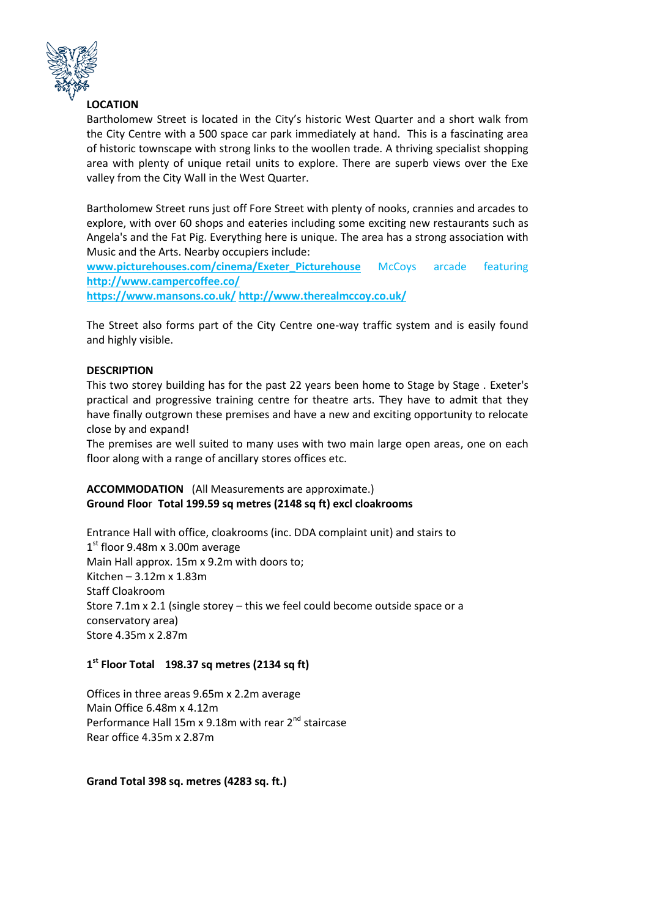

## **LOCATION**

Bartholomew Street is located in the City's historic West Quarter and a short walk from the City Centre with a 500 space car park immediately at hand. This is a fascinating area of historic townscape with strong links to the woollen trade. A thriving specialist shopping area with plenty of unique retail units to explore. There are superb views over the Exe valley from the City Wall in the West Quarter.

Bartholomew Street runs just off Fore Street with plenty of nooks, crannies and arcades to explore, with over 60 shops and eateries including some exciting new restaurants such as Angela's and the Fat Pig. Everything here is unique. The area has a strong association with Music and the Arts. Nearby occupiers include:

**[www.picturehouses.com/cinema/Exeter\\_Picturehouse](https://www.picturehouses.com/cinema/Exeter_Picturehouse)** McCoys arcade featuring **<http://www.campercoffee.co/>**

**<https://www.mansons.co.uk/> <http://www.therealmccoy.co.uk/>**

The Street also forms part of the City Centre one-way traffic system and is easily found and highly visible.

## **DESCRIPTION**

This two storey building has for the past 22 years been home to Stage by Stage . Exeter's practical and progressive training centre for theatre arts. They have to admit that they have finally outgrown these premises and have a new and exciting opportunity to relocate close by and expand!

The premises are well suited to many uses with two main large open areas, one on each floor along with a range of ancillary stores offices etc.

## **ACCOMMODATION** (All Measurements are approximate.) **Ground Floo**r **Total 199.59 sq metres (2148 sq ft) excl cloakrooms**

Entrance Hall with office, cloakrooms (inc. DDA complaint unit) and stairs to 1st floor 9.48m x 3.00m average Main Hall approx. 15m x 9.2m with doors to; Kitchen – 3.12m x 1.83m Staff Cloakroom Store 7.1m x 2.1 (single storey – this we feel could become outside space or a conservatory area) Store 4.35m x 2.87m

## **1 st Floor Total 198.37 sq metres (2134 sq ft)**

Offices in three areas 9.65m x 2.2m average Main Office 6.48m x 4.12m Performance Hall 15m x 9.18m with rear  $2^{nd}$  staircase Rear office 4.35m x 2.87m

**Grand Total 398 sq. metres (4283 sq. ft.)**